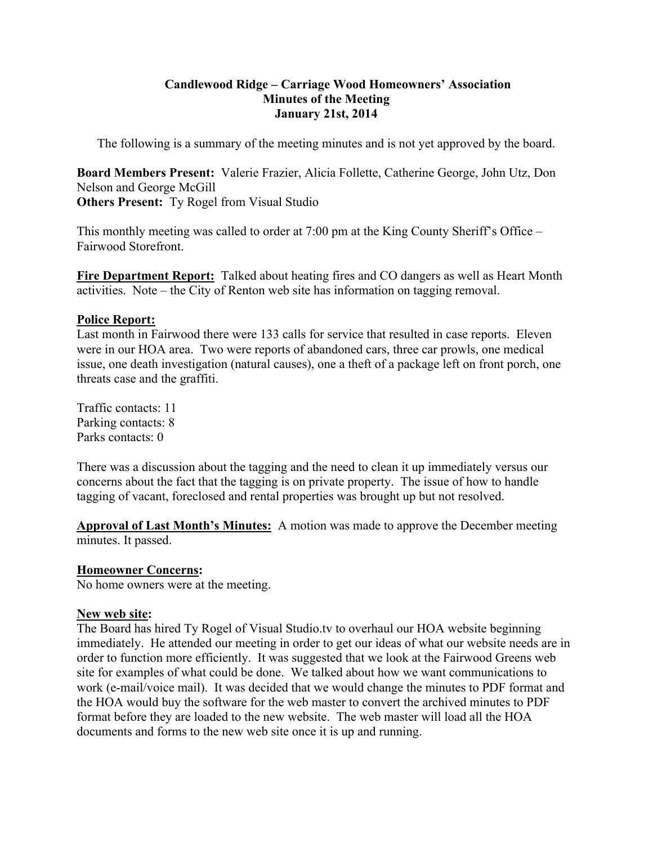### **Candlewood Ridge – Carriage Wood Homeowners' Association Minutes of the Meeting January 21st, 2014**

The following is a summary of the meeting minutes and is not yet approved by the board.

**Board Members Present:** Valerie Frazier, Alicia Follette, Catherine George, John Utz, Don Nelson and George McGill **Others Present:** Ty Rogel from Visual Studio

This monthly meeting was called to order at 7:00 pm at the King County Sheriff's Office – Fairwood Storefront.

**Fire Department Report:** Talked about heating fires and CO dangers as well as Heart Month activities. Note – the City of Renton web site has information on tagging removal.

## **Police Report:**

Last month in Fairwood there were 133 calls for service that resulted in case reports. Eleven were in our HOA area. Two were reports of abandoned cars, three car prowls, one medical issue, one death investigation (natural causes), one a theft of a package left on front porch, one threats case and the graffiti.

Traffic contacts: 11 Parking contacts: 8 Parks contacts: 0

There was a discussion about the tagging and the need to clean it up immediately versus our concerns about the fact that the tagging is on private property. The issue of how to handle tagging of vacant, foreclosed and rental properties was brought up but not resolved.

**Approval of Last Month's Minutes:** A motion was made to approve the December meeting minutes. It passed.

# **Homeowner Concerns:**

No home owners were at the meeting.

#### **New web site:**

The Board has hired Ty Rogel of Visual Studio.tv to overhaul our HOA website beginning immediately. He attended our meeting in order to get our ideas of what our website needs are in order to function more efficiently. It was suggested that we look at the Fairwood Greens web site for examples of what could be done. We talked about how we want communications to work (e-mail/voice mail). It was decided that we would change the minutes to PDF format and the HOA would buy the software for the web master to convert the archived minutes to PDF format before they are loaded to the new website. The web master will load all the HOA documents and forms to the new web site once it is up and running.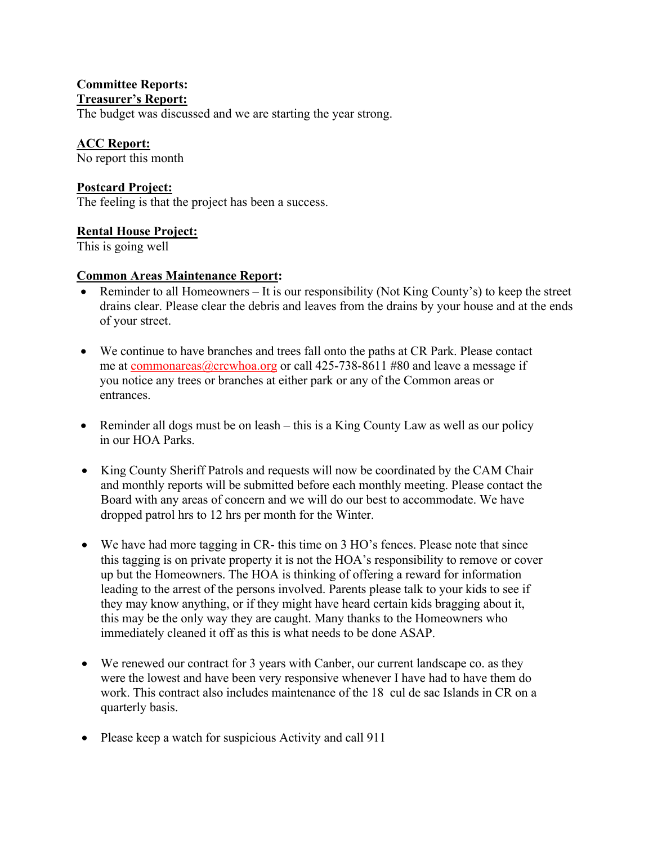### **Committee Reports: Treasurer's Report:**

The budget was discussed and we are starting the year strong.

# **ACC Report:**

No report this month

# **Postcard Project:**

The feeling is that the project has been a success.

## **Rental House Project:**

This is going well

## **Common Areas Maintenance Report:**

- Reminder to all Homeowners It is our responsibility (Not King County's) to keep the street drains clear. Please clear the debris and leaves from the drains by your house and at the ends of your street.
- We continue to have branches and trees fall onto the paths at CR Park. Please contact me at commonareas@crcwhoa.org or call 425-738-8611 #80 and leave a message if you notice any trees or branches at either park or any of the Common areas or entrances.
- Reminder all dogs must be on leash this is a King County Law as well as our policy in our HOA Parks.
- King County Sheriff Patrols and requests will now be coordinated by the CAM Chair and monthly reports will be submitted before each monthly meeting. Please contact the Board with any areas of concern and we will do our best to accommodate. We have dropped patrol hrs to 12 hrs per month for the Winter.
- We have had more tagging in CR- this time on 3 HO's fences. Please note that since this tagging is on private property it is not the HOA's responsibility to remove or cover up but the Homeowners. The HOA is thinking of offering a reward for information leading to the arrest of the persons involved. Parents please talk to your kids to see if they may know anything, or if they might have heard certain kids bragging about it, this may be the only way they are caught. Many thanks to the Homeowners who immediately cleaned it off as this is what needs to be done ASAP.
- We renewed our contract for 3 years with Canber, our current landscape co. as they were the lowest and have been very responsive whenever I have had to have them do work. This contract also includes maintenance of the 18 cul de sac Islands in CR on a quarterly basis.
- Please keep a watch for suspicious Activity and call 911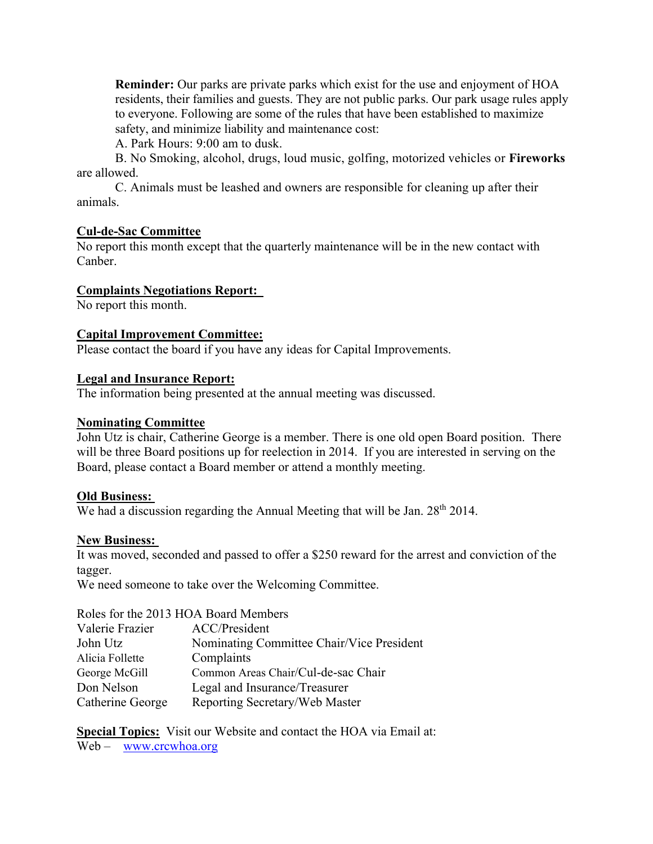**Reminder:** Our parks are private parks which exist for the use and enjoyment of HOA residents, their families and guests. They are not public parks. Our park usage rules apply to everyone. Following are some of the rules that have been established to maximize safety, and minimize liability and maintenance cost:

A. Park Hours: 9:00 am to dusk.

B. No Smoking, alcohol, drugs, loud music, golfing, motorized vehicles or **Fireworks**  are allowed.

C. Animals must be leashed and owners are responsible for cleaning up after their animals.

## **Cul-de-Sac Committee**

No report this month except that the quarterly maintenance will be in the new contact with Canber.

## **Complaints Negotiations Report:**

No report this month.

#### **Capital Improvement Committee:**

Please contact the board if you have any ideas for Capital Improvements.

## **Legal and Insurance Report:**

The information being presented at the annual meeting was discussed.

#### **Nominating Committee**

John Utz is chair, Catherine George is a member. There is one old open Board position. There will be three Board positions up for reelection in 2014. If you are interested in serving on the Board, please contact a Board member or attend a monthly meeting.

#### **Old Business:**

We had a discussion regarding the Annual Meeting that will be Jan. 28<sup>th</sup> 2014.

#### **New Business:**

It was moved, seconded and passed to offer a \$250 reward for the arrest and conviction of the tagger.

We need someone to take over the Welcoming Committee.

#### Roles for the 2013 HOA Board Members

| Valerie Frazier  | ACC/President                             |
|------------------|-------------------------------------------|
| John Utz         | Nominating Committee Chair/Vice President |
| Alicia Follette  | Complaints                                |
| George McGill    | Common Areas Chair/Cul-de-sac Chair       |
| Don Nelson       | Legal and Insurance/Treasurer             |
| Catherine George | Reporting Secretary/Web Master            |

**<u>Special Topics:</u>** Visit our Website and contact the HOA via Email at: Web – www.crcwhoa.org